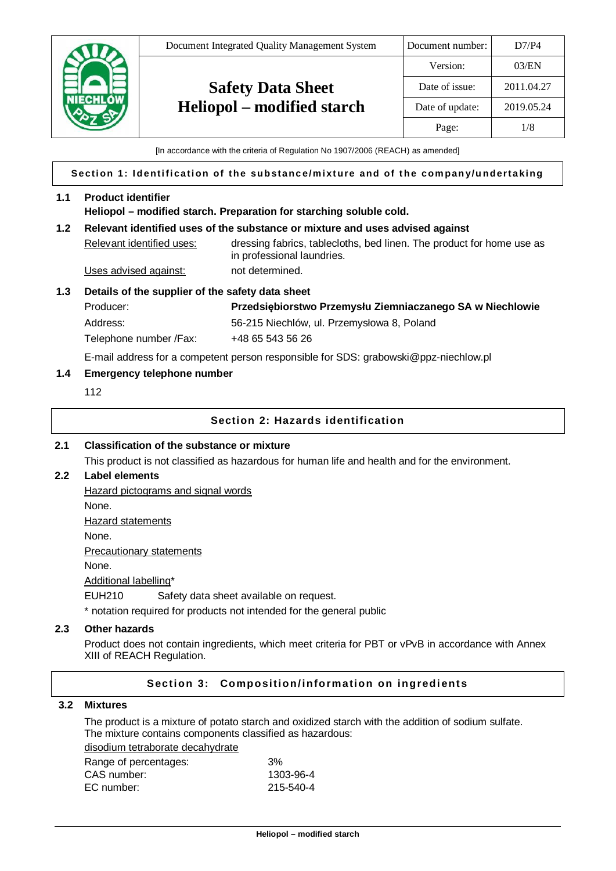

[In accordance with the criteria of Regulation No 1907/2006 (REACH) as amended]

### **Section 1: Identification of the substance/mixture and of the company/undertaking**

### **1.1 Product identifier**

**Heliopol – modified starch. Preparation for starching soluble cold.**

### **1.2 Relevant identified uses of the substance or mixture and uses advised against**

Relevant identified uses: dressing fabrics, tablecloths, bed linen. The product for home use as in professional laundries. Uses advised against: not determined.

**1.3 Details of the supplier of the safety data sheet**

Producer: **Przedsiębiorstwo Przemysłu Ziemniaczanego SA w Niechlowie** Address: 56-215 Niechlów, ul. Przemysłowa 8, Poland Telephone number / Fax: +48 65 543 56 26

E-mail address for a competent person responsible for SDS: grabowski@ppz-niechlow.pl

### **1.4 Emergency telephone number**

112

### **Section 2: Hazards identification**

#### **2.1 Classification of the substance or mixture**

This product is not classified as hazardous for human life and health and for the environment.

### **2.2 Label elements**

Hazard pictograms and signal words

None.

Hazard statements

None.

Precautionary statements

None.

Additional labelling\*

EUH210 Safety data sheet available on request.

\* notation required for products not intended for the general public

# **2.3 Other hazards**

Product does not contain ingredients, which meet criteria for PBT or vPvB in accordance with Annex XIII of REACH Regulation.

# **Section 3: Composition/information on ingredients**

# **3.2 Mixtures**

The product is a mixture of potato starch and oxidized starch with the addition of sodium sulfate. The mixture contains components classified as hazardous:

# disodium tetraborate decahydrate

| Range of percentages: | 3%        |
|-----------------------|-----------|
| CAS number:           | 1303-96-4 |
| EC number:            | 215-540-4 |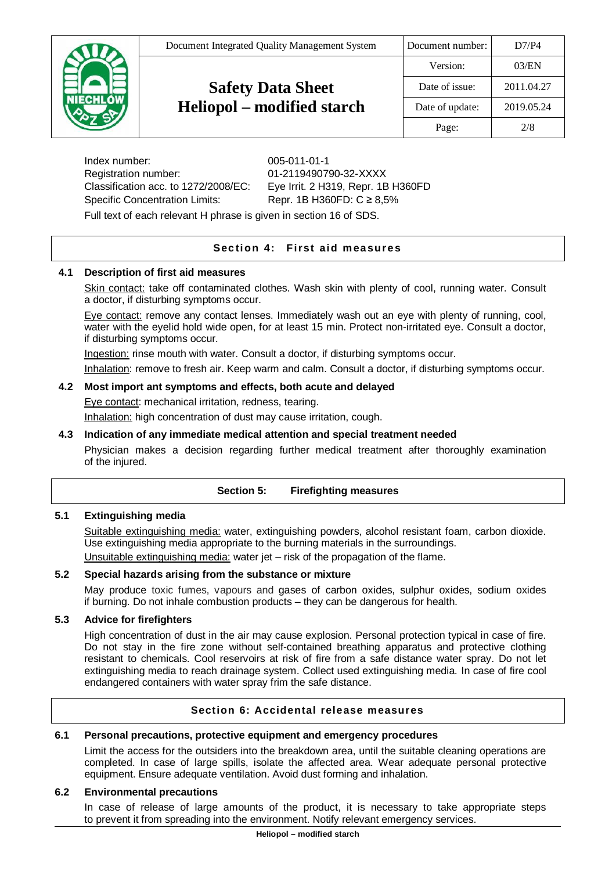| Document Integrated Quality Management System | Document number: | D7/P4      |
|-----------------------------------------------|------------------|------------|
|                                               | Version:         | 03/EN      |
| <b>Safety Data Sheet</b>                      | Date of issue:   | 2011.04.27 |
| <b>Heliopol</b> – modified starch             | Date of update:  | 2019.05.24 |
|                                               | Page:            | 2/8        |
|                                               |                  |            |

Index number: 005-011-01-1 Registration number: 01-2119490790-32-XXXX Classification acc. to 1272/2008/EC: Eye Irrit. 2 H319, Repr. 1B H360FD Specific Concentration Limits: Repr. 1B H360FD: C ≥ 8,5%

Full text of each relevant H phrase is given in section 16 of SDS.

# **Sec tion 4: First aid measures**

# **4.1 Description of first aid measures**

Skin contact: take off contaminated clothes. Wash skin with plenty of cool, running water. Consult a doctor, if disturbing symptoms occur.

Eye contact: remove any contact lenses. Immediately wash out an eye with plenty of running, cool, water with the eyelid hold wide open, for at least 15 min. Protect non-irritated eye. Consult a doctor, if disturbing symptoms occur.

Ingestion: rinse mouth with water. Consult a doctor, if disturbing symptoms occur.

Inhalation: remove to fresh air. Keep warm and calm. Consult a doctor, if disturbing symptoms occur.

# **4.2 Most import ant symptoms and effects, both acute and delayed**

Eye contact: mechanical irritation, redness, tearing.

Inhalation: high concentration of dust may cause irritation, cough.

# **4.3 Indication of any immediate medical attention and special treatment needed**

Physician makes a decision regarding further medical treatment after thoroughly examination of the injured.

| <b>Section 5:</b> | <b>Firefighting measures</b> |  |
|-------------------|------------------------------|--|
|-------------------|------------------------------|--|

# **5.1 Extinguishing media**

Suitable extinguishing media: water, extinguishing powders, alcohol resistant foam, carbon dioxide. Use extinguishing media appropriate to the burning materials in the surroundings. Unsuitable extinguishing media: water jet – risk of the propagation of the flame.

# **5.2 Special hazards arising from the substance or mixture**

May produce toxic fumes, vapours and gases of carbon oxides, sulphur oxides, sodium oxides if burning. Do not inhale combustion products – they can be dangerous for health.

# **5.3 Advice for firefighters**

High concentration of dust in the air may cause explosion. Personal protection typical in case of fire. Do not stay in the fire zone without self-contained breathing apparatus and protective clothing resistant to chemicals. Cool reservoirs at risk of fire from a safe distance water spray. Do not let extinguishing media to reach drainage system. Collect used extinguishing media. In case of fire cool endangered containers with water spray frim the safe distance.

# **Section 6: Accidental release measures**

# **6.1 Personal precautions, protective equipment and emergency procedures**

Limit the access for the outsiders into the breakdown area, until the suitable cleaning operations are completed. In case of large spills, isolate the affected area. Wear adequate personal protective equipment. Ensure adequate ventilation. Avoid dust forming and inhalation.

#### **6.2 Environmental precautions**

In case of release of large amounts of the product, it is necessary to take appropriate steps to prevent it from spreading into the environment. Notify relevant emergency services.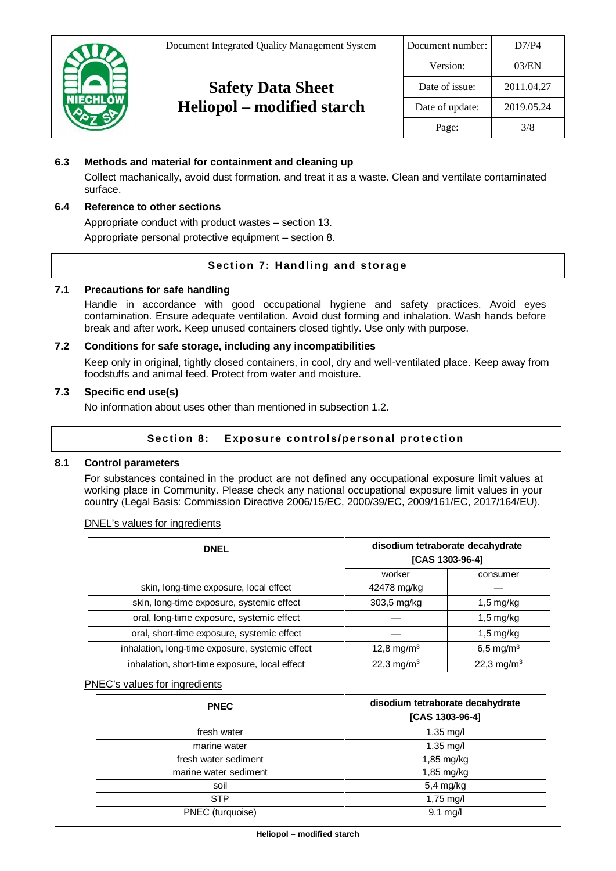| Document Integrated Quality Management System | Document number: | D7/P4      |
|-----------------------------------------------|------------------|------------|
|                                               | Version:         | 03/EN      |
| <b>Safety Data Sheet</b>                      | Date of issue:   | 2011.04.27 |
| Heliopol – modified starch                    | Date of update:  | 2019.05.24 |
|                                               | Page:            | 3/8        |

# **6.3 Methods and material for containment and cleaning up**

Collect machanically, avoid dust formation. and treat it as a waste. Clean and ventilate contaminated surface.

# **6.4 Reference to other sections**

Appropriate conduct with product wastes – section 13.

Appropriate personal protective equipment – section 8.

# **Section 7: Handling and storage**

### **7.1 Precautions for safe handling**

Handle in accordance with good occupational hygiene and safety practices. Avoid eyes contamination. Ensure adequate ventilation. Avoid dust forming and inhalation. Wash hands before break and after work. Keep unused containers closed tightly. Use only with purpose.

# **7.2 Conditions for safe storage, including any incompatibilities**

Keep only in original, tightly closed containers, in cool, dry and well-ventilated place. Keep away from foodstuffs and animal feed. Protect from water and moisture.

### **7.3 Specific end use(s)**

No information about uses other than mentioned in subsection 1.2.

# Section 8: Exposure controls/personal protection

### **8.1 Control parameters**

For substances contained in the product are not defined any occupational exposure limit values at working place in Community. Please check any national occupational exposure limit values in your country (Legal Basis: Commission Directive 2006/15/EC, 2000/39/EC, 2009/161/EC, 2017/164/EU).

| DIVEL'S Values for high editions                |                                                     |                        |
|-------------------------------------------------|-----------------------------------------------------|------------------------|
| <b>DNEL</b>                                     | disodium tetraborate decahydrate<br>[CAS 1303-96-4] |                        |
|                                                 | worker                                              | consumer               |
| skin, long-time exposure, local effect          | 42478 mg/kg                                         |                        |
| skin, long-time exposure, systemic effect       | 303,5 mg/kg                                         | $1,5 \text{ mg/kg}$    |
| oral, long-time exposure, systemic effect       |                                                     | $1,5 \text{ mg/kg}$    |
| oral, short-time exposure, systemic effect      |                                                     | $1,5 \text{ mg/kg}$    |
| inhalation, long-time exposure, systemic effect | 12,8 mg/m <sup>3</sup>                              | 6,5 mg/m <sup>3</sup>  |
| inhalation, short-time exposure, local effect   | 22,3 mg/m <sup>3</sup>                              | 22,3 mg/m <sup>3</sup> |

# DNEL's values for ingredients

#### PNEC's values for ingredients

| <b>PNEC</b>           | disodium tetraborate decahydrate<br>[CAS 1303-96-4] |
|-----------------------|-----------------------------------------------------|
| fresh water           | 1,35 mg/l                                           |
| marine water          | $1,35 \text{ mg/l}$                                 |
| fresh water sediment  | 1,85 mg/kg                                          |
| marine water sediment | 1,85 mg/kg                                          |
| soil                  | 5,4 mg/kg                                           |
| <b>STP</b>            | 1,75 mg/l                                           |
| PNEC (turquoise)      | $9,1$ mg/l                                          |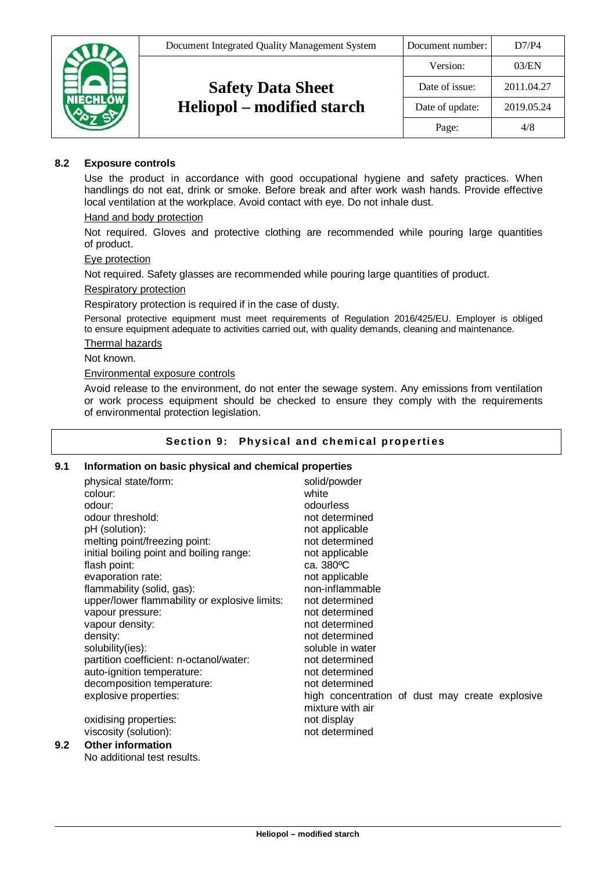

# **8.2 Exposure controls**

Use the product in accordance with good occupational hygiene and safety practices. When handlings do not eat, drink or smoke. Before break and after work wash hands. Provide effective local ventilation at the workplace. Avoid contact with eye. Do not inhale dust.

### Hand and body protection

Not required. Gloves and protective clothing are recommended while pouring large quantities of product.

### Eye protection

Not required. Safety glasses are recommended while pouring large quantities of product.

### Respiratory protection

Respiratory protection is required if in the case of dusty.

Personal protective equipment must meet requirements of Regulation 2016/425/EU. Employer is obliged to ensure equipment adequate to activities carried out, with quality demands, cleaning and maintenance.

### Thermal hazards

Not known.

#### Environmental exposure controls

Avoid release to the environment, do not enter the sewage system. Any emissions from ventilation or work process equipment should be checked to ensure they comply with the requirements of environmental protection legislation.

### Section 9: Physical and chemical properties

# **9.1 Information on basic physical and chemical properties**

|     | physical state/form:<br>colour:<br>odour:<br>odour threshold:<br>pH (solution):<br>melting point/freezing point:<br>initial boiling point and boiling range:<br>flash point:<br>evaporation rate:<br>flammability (solid, gas):<br>upper/lower flammability or explosive limits:<br>vapour pressure:<br>vapour density:<br>density:<br>solubility(ies):<br>partition coefficient: n-octanol/water:<br>auto-ignition temperature:<br>decomposition temperature: | solid/powder<br>white<br>odourless<br>not determined<br>not applicable<br>not determined<br>not applicable<br>ca. 380°C<br>not applicable<br>non-inflammable<br>not determined<br>not determined<br>not determined<br>not determined<br>soluble in water<br>not determined<br>not determined<br>not determined |
|-----|----------------------------------------------------------------------------------------------------------------------------------------------------------------------------------------------------------------------------------------------------------------------------------------------------------------------------------------------------------------------------------------------------------------------------------------------------------------|----------------------------------------------------------------------------------------------------------------------------------------------------------------------------------------------------------------------------------------------------------------------------------------------------------------|
|     |                                                                                                                                                                                                                                                                                                                                                                                                                                                                |                                                                                                                                                                                                                                                                                                                |
|     | explosive properties:                                                                                                                                                                                                                                                                                                                                                                                                                                          | high concentration of dust may create explosive<br>mixture with air                                                                                                                                                                                                                                            |
|     | oxidising properties:                                                                                                                                                                                                                                                                                                                                                                                                                                          | not display                                                                                                                                                                                                                                                                                                    |
|     | viscosity (solution):                                                                                                                                                                                                                                                                                                                                                                                                                                          | not determined                                                                                                                                                                                                                                                                                                 |
| 9.2 | <b>Other information</b>                                                                                                                                                                                                                                                                                                                                                                                                                                       |                                                                                                                                                                                                                                                                                                                |

# No additional test results.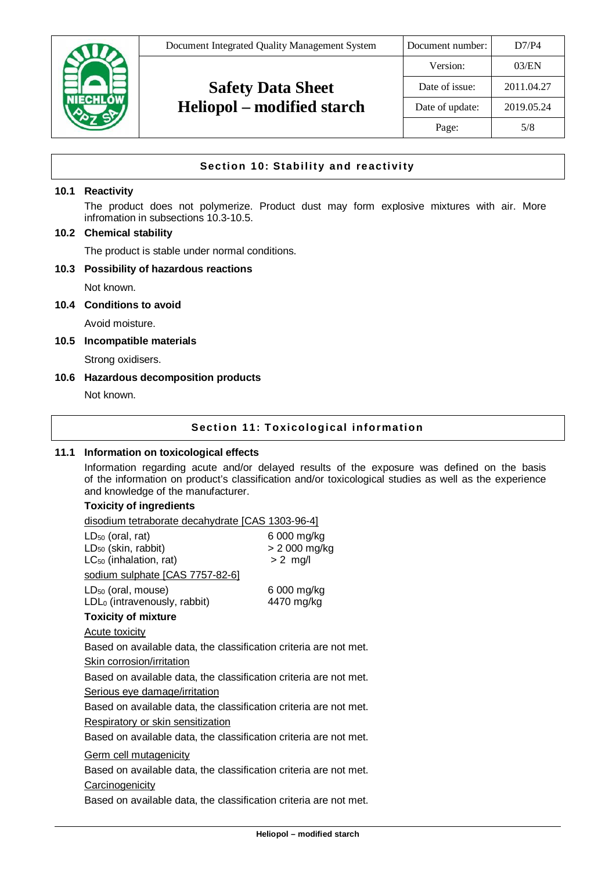|                 | Document Integrated Quality Management System | Document number: | D7/P4      |
|-----------------|-----------------------------------------------|------------------|------------|
|                 |                                               | Version:         | 03/EN      |
|                 | <b>Safety Data Sheet</b>                      | Date of issue:   | 2011.04.27 |
| <b>IIECHLÓW</b> | <b>Heliopol</b> – modified starch             | Date of update:  | 2019.05.24 |
|                 |                                               | Page:            | 5/8        |

# **Section 10: Stability and reactivity**

# **10.1 Reactivity**

The product does not polymerize. Product dust may form explosive mixtures with air. More infromation in subsections 10.3-10.5.

### **10.2 Chemical stability**

The product is stable under normal conditions.

#### **10.3 Possibility of hazardous reactions**

Not known.

### **10.4 Conditions to avoid**

Avoid moisture.

#### **10.5 Incompatible materials**

Strong oxidisers.

### **10.6 Hazardous decomposition products**

Not known.

# **Section 11: Toxicological information**

### **11.1 Information on toxicological effects**

Information regarding acute and/or delayed results of the exposure was defined on the basis of the information on product's classification and/or toxicological studies as well as the experience and knowledge of the manufacturer.

# **Toxicity of ingredients**

disodium tetraborate decahydrate [CAS 1303-96-4]

| $LD_{50}$ (oral, rat)<br>LD <sub>50</sub> (skin, rabbit)<br>$LC_{50}$ (inhalation, rat) | 6 000 mg/kg<br>> 2 000 mg/kg<br>$> 2$ mg/l |
|-----------------------------------------------------------------------------------------|--------------------------------------------|
| sodium sulphate [CAS 7757-82-6]                                                         |                                            |
| $LD_{50}$ (oral, mouse)<br>$LDL0$ (intravenously, rabbit)<br><b>Toxicity of mixture</b> | 6 000 mg/kg<br>4470 mg/kg                  |
| Acute toxicity                                                                          |                                            |
| Based on available data, the classification criteria are not met.                       |                                            |
| <b>Skin corrosion/irritation</b>                                                        |                                            |
| Based on available data, the classification criteria are not met.                       |                                            |
| Serious eye damage/irritation                                                           |                                            |
| Based on available data, the classification criteria are not met.                       |                                            |
| <b>Respiratory or skin sensitization</b>                                                |                                            |
| Based on available data, the classification criteria are not met.                       |                                            |
| <b>Germ cell mutagenicity</b>                                                           |                                            |
| Based on available data, the classification criteria are not met.                       |                                            |
| Carcinogenicity                                                                         |                                            |
| Danast an ann atalanta state tha atacaitheathan amhamacan ann na t-                     |                                            |

Based on available data, the classification criteria are not met.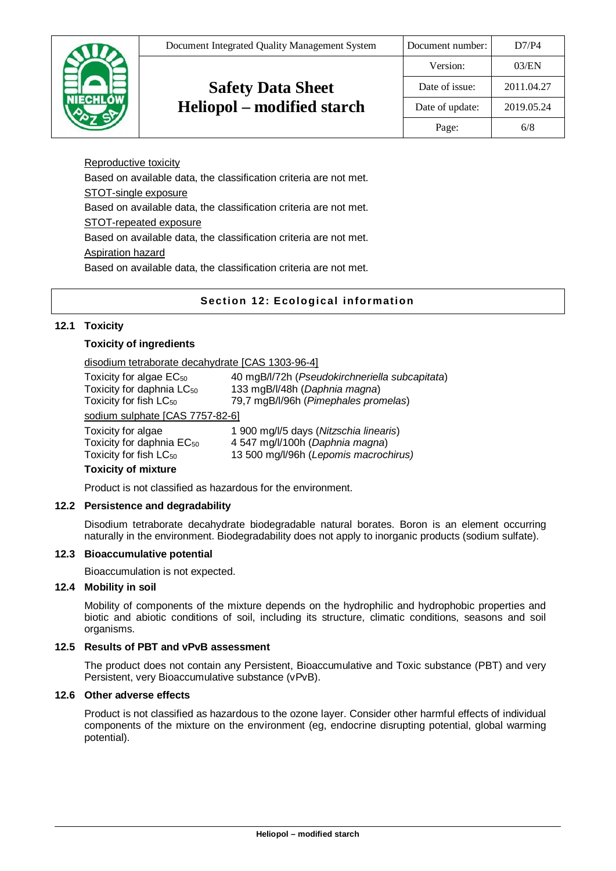|                 | Document Integrated Quality Management System | Document number: | D7/P4      |
|-----------------|-----------------------------------------------|------------------|------------|
|                 |                                               | Version:         | 03/EN      |
|                 | <b>Safety Data Sheet</b>                      | Date of issue:   | 2011.04.27 |
| <b>NIECHLÓW</b> | Heliopol – modified starch                    | Date of update:  | 2019.05.24 |
|                 |                                               | Page:            | 6/8        |
|                 |                                               |                  |            |

Reproductive toxicity Based on available data, the classification criteria are not met. STOT-single exposure Based on available data, the classification criteria are not met. STOT-repeated exposure Based on available data, the classification criteria are not met. Aspiration hazard Based on available data, the classification criteria are not met.

# **Section 12: Ecological information**

# **12.1 Toxicity**

# **Toxicity of ingredients**

### disodium tetraborate decahydrate [CAS 1303-96-4]

| Toxicity for algae EC <sub>50</sub><br>Toxicity for daphnia LC <sub>50</sub><br>Toxicity for fish LC <sub>50</sub> | 40 mgB/l/72h (Pseudokirchneriella subcapitata)<br>133 mgB/l/48h (Daphnia magna)<br>79,7 mgB/l/96h (Pimephales promelas) |
|--------------------------------------------------------------------------------------------------------------------|-------------------------------------------------------------------------------------------------------------------------|
| sodium sulphate [CAS 7757-82-6]                                                                                    |                                                                                                                         |
| Toxicity for algae                                                                                                 | 1 900 mg/l/5 days (Nitzschia linearis)                                                                                  |
| Toxicity for daphnia EC <sub>50</sub>                                                                              | 4 547 mg/l/100h (Daphnia magna)                                                                                         |
| Toxicity for fish LC <sub>50</sub>                                                                                 | 13 500 mg/l/96h (Lepomis macrochirus)                                                                                   |

#### **Toxicity of mixture**

Product is not classified as hazardous for the environment.

# **12.2 Persistence and degradability**

Disodium tetraborate decahydrate biodegradable natural borates. Boron is an element occurring naturally in the environment. Biodegradability does not apply to inorganic products (sodium sulfate).

### **12.3 Bioaccumulative potential**

Bioaccumulation is not expected.

### **12.4 Mobility in soil**

Mobility of components of the mixture depends on the hydrophilic and hydrophobic properties and biotic and abiotic conditions of soil, including its structure, climatic conditions, seasons and soil organisms.

# **12.5 Results of PBT and vPvB assessment**

The product does not contain any Persistent, Bioaccumulative and Toxic substance (PBT) and very Persistent, very Bioaccumulative substance (vPvB).

# **12.6 Other adverse effects**

Product is not classified as hazardous to the ozone layer. Consider other harmful effects of individual components of the mixture on the environment (eg, endocrine disrupting potential, global warming potential).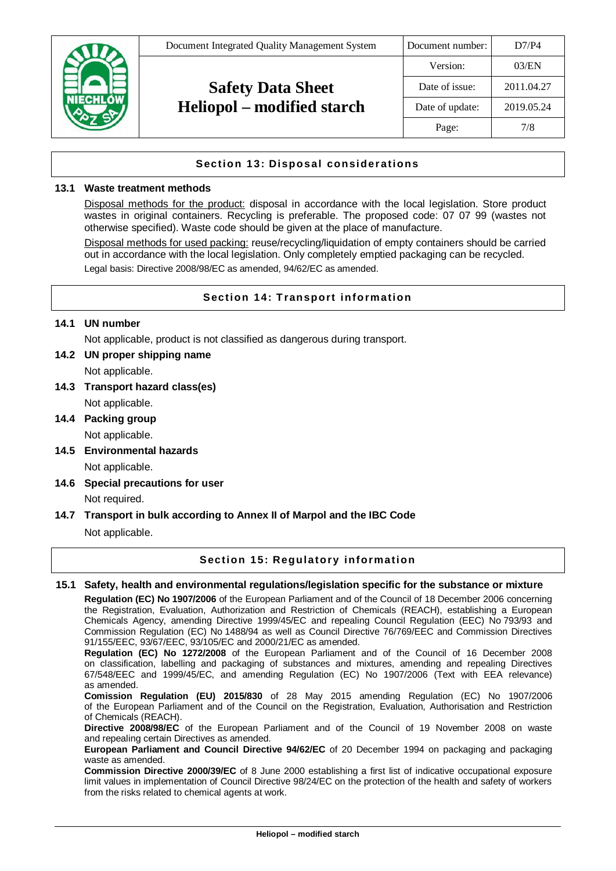

# **Section 13: Disposal considerations**

### **13.1 Waste treatment methods**

Disposal methods for the product: disposal in accordance with the local legislation. Store product wastes in original containers. Recycling is preferable. The proposed code: 07 07 99 (wastes not otherwise specified). Waste code should be given at the place of manufacture.

Disposal methods for used packing: reuse/recycling/liquidation of empty containers should be carried out in accordance with the local legislation. Only completely emptied packaging can be recycled. Legal basis: Directive 2008/98/EC as amended, 94/62/EC as amended.

# **Section 14: Transport information**

### **14.1 UN number**

Not applicable, product is not classified as dangerous during transport.

### **14.2 UN proper shipping name**

Not applicable.

- **14.3 Transport hazard class(es)** Not applicable.
- **14.4 Packing group** Not applicable.
- **14.5 Environmental hazards**

Not applicable.

**14.6 Special precautions for user**

# Not required.

# **14.7 Transport in bulk according to Annex II of Marpol and the IBC Code**

Not applicable.

# **Section 15: Regulatory information**

# **15.1 Safety, health and environmental regulations/legislation specific for the substance or mixture**

**Regulation (EC) No 1907/2006** of the European Parliament and of the Council of 18 December 2006 concerning the Registration, Evaluation, Authorization and Restriction of Chemicals (REACH), establishing a European Chemicals Agency, amending Directive 1999/45/EC and repealing Council Regulation (EEC) No 793/93 and Commission Regulation (EC) No 1488/94 as well as Council Directive 76/769/EEC and Commission Directives 91/155/EEC, 93/67/EEC, 93/105/EC and 2000/21/EC as amended.

**Regulation (EC) No 1272/2008** of the European Parliament and of the Council of 16 December 2008 on classification, labelling and packaging of substances and mixtures, amending and repealing Directives 67/548/EEC and 1999/45/EC, and amending Regulation (EC) No 1907/2006 (Text with EEA relevance) as amended.

**Comission Regulation (EU) 2015/830** of 28 May 2015 amending Regulation (EC) No 1907/2006 of the European Parliament and of the Council on the Registration, Evaluation, Authorisation and Restriction of Chemicals (REACH).

**Directive 2008/98/EC** of the European Parliament and of the Council of 19 November 2008 on waste and repealing certain Directives as amended.

**European Parliament and Council Directive 94/62/EC** of 20 December 1994 on packaging and packaging waste as amended.

**Commission Directive 2000/39/EC** of 8 June 2000 establishing a first list of indicative occupational exposure limit values in implementation of Council Directive 98/24/EC on the protection of the health and safety of workers from the risks related to chemical agents at work.